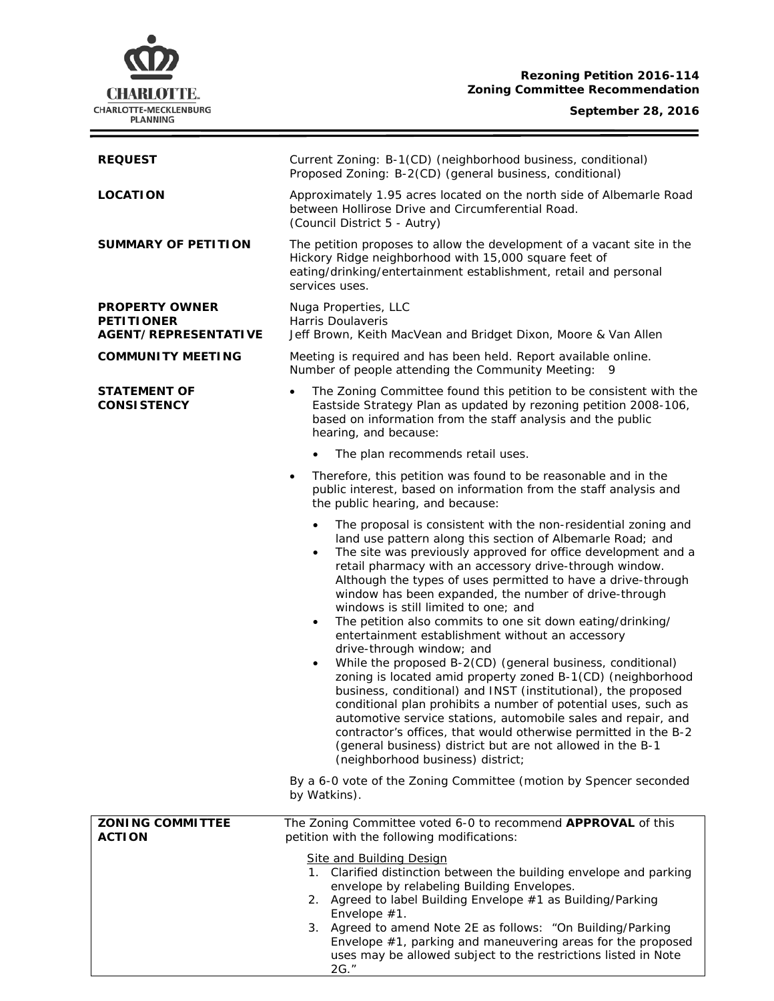

# **Rezoning Petition 2016-114 Zoning Committee Recommendation**

# **September 28, 2016**

 $\equiv$ 

| <b>REQUEST</b>                                                            | Current Zoning: B-1(CD) (neighborhood business, conditional)<br>Proposed Zoning: B-2(CD) (general business, conditional)                                                                                                                                                                                                                                                                                                                                                                                                                                                                                                                                                                                                                                                                                                                                                                                                                                                                                                                                                                                                                                                                                                 |  |  |
|---------------------------------------------------------------------------|--------------------------------------------------------------------------------------------------------------------------------------------------------------------------------------------------------------------------------------------------------------------------------------------------------------------------------------------------------------------------------------------------------------------------------------------------------------------------------------------------------------------------------------------------------------------------------------------------------------------------------------------------------------------------------------------------------------------------------------------------------------------------------------------------------------------------------------------------------------------------------------------------------------------------------------------------------------------------------------------------------------------------------------------------------------------------------------------------------------------------------------------------------------------------------------------------------------------------|--|--|
| <b>LOCATION</b>                                                           | Approximately 1.95 acres located on the north side of Albemarle Road<br>between Hollirose Drive and Circumferential Road.<br>(Council District 5 - Autry)                                                                                                                                                                                                                                                                                                                                                                                                                                                                                                                                                                                                                                                                                                                                                                                                                                                                                                                                                                                                                                                                |  |  |
| <b>SUMMARY OF PETITION</b>                                                | The petition proposes to allow the development of a vacant site in the<br>Hickory Ridge neighborhood with 15,000 square feet of<br>eating/drinking/entertainment establishment, retail and personal<br>services uses.                                                                                                                                                                                                                                                                                                                                                                                                                                                                                                                                                                                                                                                                                                                                                                                                                                                                                                                                                                                                    |  |  |
| <b>PROPERTY OWNER</b><br><b>PETITIONER</b><br><b>AGENT/REPRESENTATIVE</b> | Nuga Properties, LLC<br>Harris Doulaveris<br>Jeff Brown, Keith MacVean and Bridget Dixon, Moore & Van Allen                                                                                                                                                                                                                                                                                                                                                                                                                                                                                                                                                                                                                                                                                                                                                                                                                                                                                                                                                                                                                                                                                                              |  |  |
| <b>COMMUNITY MEETING</b>                                                  | Meeting is required and has been held. Report available online.<br>Number of people attending the Community Meeting:<br>9                                                                                                                                                                                                                                                                                                                                                                                                                                                                                                                                                                                                                                                                                                                                                                                                                                                                                                                                                                                                                                                                                                |  |  |
| <b>STATEMENT OF</b><br><b>CONSISTENCY</b>                                 | The Zoning Committee found this petition to be consistent with the<br>Eastside Strategy Plan as updated by rezoning petition 2008-106,<br>based on information from the staff analysis and the public<br>hearing, and because:                                                                                                                                                                                                                                                                                                                                                                                                                                                                                                                                                                                                                                                                                                                                                                                                                                                                                                                                                                                           |  |  |
|                                                                           | The plan recommends retail uses.                                                                                                                                                                                                                                                                                                                                                                                                                                                                                                                                                                                                                                                                                                                                                                                                                                                                                                                                                                                                                                                                                                                                                                                         |  |  |
|                                                                           | Therefore, this petition was found to be reasonable and in the<br>$\bullet$<br>public interest, based on information from the staff analysis and<br>the public hearing, and because:                                                                                                                                                                                                                                                                                                                                                                                                                                                                                                                                                                                                                                                                                                                                                                                                                                                                                                                                                                                                                                     |  |  |
|                                                                           | The proposal is consistent with the non-residential zoning and<br>$\bullet$<br>land use pattern along this section of Albemarle Road; and<br>The site was previously approved for office development and a<br>$\bullet$<br>retail pharmacy with an accessory drive-through window.<br>Although the types of uses permitted to have a drive-through<br>window has been expanded, the number of drive-through<br>windows is still limited to one; and<br>The petition also commits to one sit down eating/drinking/<br>$\bullet$<br>entertainment establishment without an accessory<br>drive-through window; and<br>While the proposed B-2(CD) (general business, conditional)<br>$\bullet$<br>zoning is located amid property zoned B-1(CD) (neighborhood<br>business, conditional) and INST (institutional), the proposed<br>conditional plan prohibits a number of potential uses, such as<br>automotive service stations, automobile sales and repair, and<br>contractor's offices, that would otherwise permitted in the B-2<br>(general business) district but are not allowed in the B-1<br>(neighborhood business) district;<br>By a 6-0 vote of the Zoning Committee (motion by Spencer seconded<br>by Watkins). |  |  |
| <b>ZONING COMMITTEE</b>                                                   | The Zoning Committee voted 6-0 to recommend APPROVAL of this                                                                                                                                                                                                                                                                                                                                                                                                                                                                                                                                                                                                                                                                                                                                                                                                                                                                                                                                                                                                                                                                                                                                                             |  |  |
| <b>ACTION</b>                                                             | petition with the following modifications:                                                                                                                                                                                                                                                                                                                                                                                                                                                                                                                                                                                                                                                                                                                                                                                                                                                                                                                                                                                                                                                                                                                                                                               |  |  |
|                                                                           | <b>Site and Building Design</b><br>1. Clarified distinction between the building envelope and parking<br>envelope by relabeling Building Envelopes.<br>2. Agreed to label Building Envelope #1 as Building/Parking<br>Envelope #1.<br>3. Agreed to amend Note 2E as follows: "On Building/Parking<br>Envelope $#1$ , parking and maneuvering areas for the proposed<br>uses may be allowed subject to the restrictions listed in Note<br>2G."                                                                                                                                                                                                                                                                                                                                                                                                                                                                                                                                                                                                                                                                                                                                                                            |  |  |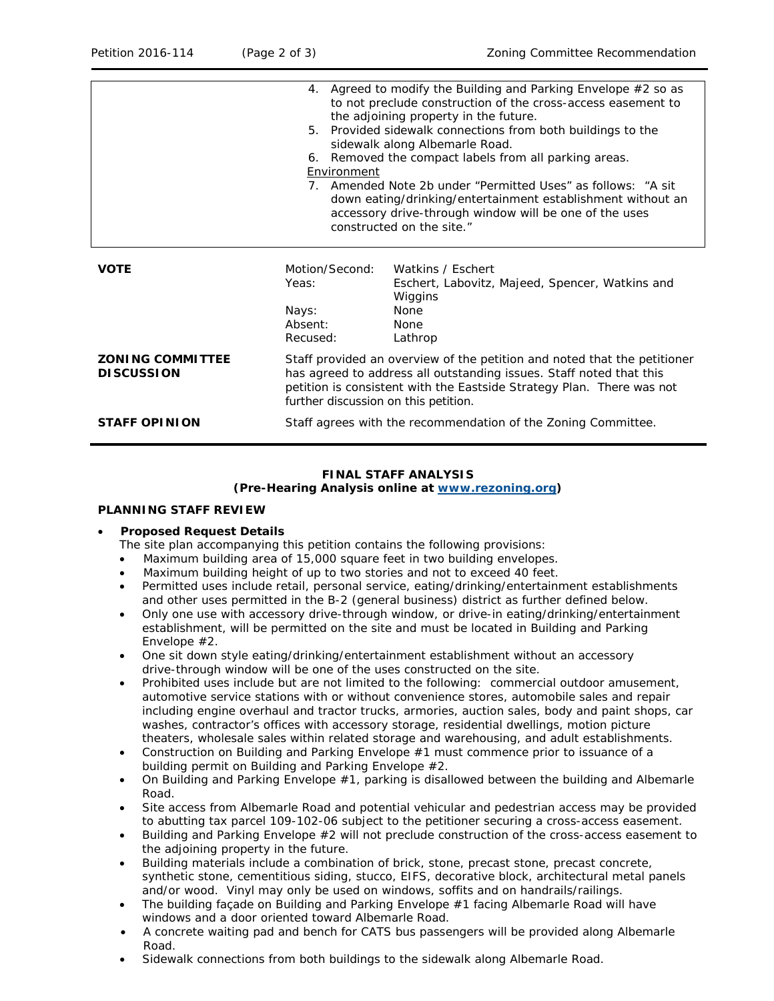|                                              | Environment                                                                                                                                                                                                                                                      | 4. Agreed to modify the Building and Parking Envelope #2 so as<br>to not preclude construction of the cross-access easement to<br>the adjoining property in the future.<br>5. Provided sidewalk connections from both buildings to the<br>sidewalk along Albemarle Road.<br>6. Removed the compact labels from all parking areas.<br>7. Amended Note 2b under "Permitted Uses" as follows: "A sit<br>down eating/drinking/entertainment establishment without an<br>accessory drive-through window will be one of the uses<br>constructed on the site." |  |
|----------------------------------------------|------------------------------------------------------------------------------------------------------------------------------------------------------------------------------------------------------------------------------------------------------------------|---------------------------------------------------------------------------------------------------------------------------------------------------------------------------------------------------------------------------------------------------------------------------------------------------------------------------------------------------------------------------------------------------------------------------------------------------------------------------------------------------------------------------------------------------------|--|
| <b>VOTE</b>                                  | Motion/Second:<br>Yeas:<br>Nays:<br>Absent:<br>Recused:                                                                                                                                                                                                          | Watkins / Eschert<br>Eschert, Labovitz, Majeed, Spencer, Watkins and<br>Wiggins<br>None<br><b>None</b><br>Lathrop                                                                                                                                                                                                                                                                                                                                                                                                                                       |  |
| <b>ZONING COMMITTEE</b><br><b>DISCUSSION</b> | Staff provided an overview of the petition and noted that the petitioner<br>has agreed to address all outstanding issues. Staff noted that this<br>petition is consistent with the Eastside Strategy Plan. There was not<br>further discussion on this petition. |                                                                                                                                                                                                                                                                                                                                                                                                                                                                                                                                                         |  |
| <b>STAFF OPINION</b>                         | Staff agrees with the recommendation of the Zoning Committee.                                                                                                                                                                                                    |                                                                                                                                                                                                                                                                                                                                                                                                                                                                                                                                                         |  |

# **FINAL STAFF ANALYSIS**

**(Pre-Hearing Analysis online at [www.rezoning.org\)](http://www.rezoning.org/)** 

# **PLANNING STAFF REVIEW**

#### • **Proposed Request Details**

The site plan accompanying this petition contains the following provisions:

- Maximum building area of 15,000 square feet in two building envelopes.
- Maximum building height of up to two stories and not to exceed 40 feet.
- Permitted uses include retail, personal service, eating/drinking/entertainment establishments and other uses permitted in the B-2 (general business) district as further defined below.
- Only one use with accessory drive-through window, or drive-in eating/drinking/entertainment establishment, will be permitted on the site and must be located in Building and Parking Envelope #2.
- One sit down style eating/drinking/entertainment establishment without an accessory drive-through window will be one of the uses constructed on the site.
- Prohibited uses include but are not limited to the following: commercial outdoor amusement, automotive service stations with or without convenience stores, automobile sales and repair including engine overhaul and tractor trucks, armories, auction sales, body and paint shops, car washes, contractor's offices with accessory storage, residential dwellings, motion picture theaters, wholesale sales within related storage and warehousing, and adult establishments.
- Construction on Building and Parking Envelope #1 must commence prior to issuance of a building permit on Building and Parking Envelope #2.
- On Building and Parking Envelope #1, parking is disallowed between the building and Albemarle Road.
- Site access from Albemarle Road and potential vehicular and pedestrian access may be provided to abutting tax parcel 109-102-06 subject to the petitioner securing a cross-access easement.
- Building and Parking Envelope #2 will not preclude construction of the cross-access easement to the adjoining property in the future.
- Building materials include a combination of brick, stone, precast stone, precast concrete, synthetic stone, cementitious siding, stucco, EIFS, decorative block, architectural metal panels and/or wood. Vinyl may only be used on windows, soffits and on handrails/railings.
- The building façade on Building and Parking Envelope #1 facing Albemarle Road will have windows and a door oriented toward Albemarle Road.
- A concrete waiting pad and bench for CATS bus passengers will be provided along Albemarle Road.
- Sidewalk connections from both buildings to the sidewalk along Albemarle Road.